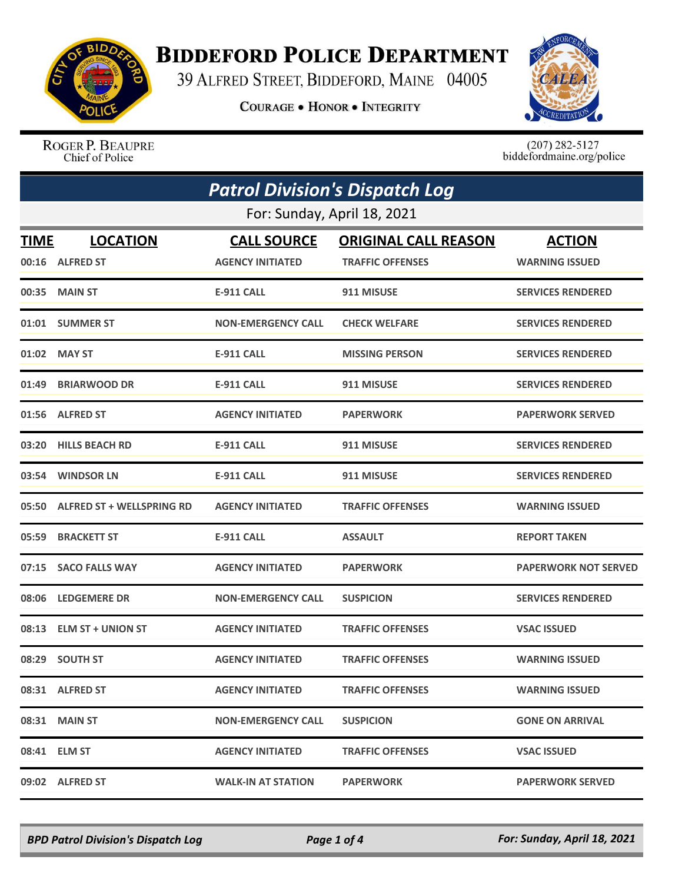

## **BIDDEFORD POLICE DEPARTMENT**

39 ALFRED STREET, BIDDEFORD, MAINE 04005

**COURAGE . HONOR . INTEGRITY** 



ROGER P. BEAUPRE Chief of Police

 $(207)$  282-5127<br>biddefordmaine.org/police

| <b>Patrol Division's Dispatch Log</b><br>For: Sunday, April 18, 2021 |                                 |                           |                         |                             |
|----------------------------------------------------------------------|---------------------------------|---------------------------|-------------------------|-----------------------------|
|                                                                      |                                 |                           |                         |                             |
|                                                                      | 00:16 ALFRED ST                 | <b>AGENCY INITIATED</b>   | <b>TRAFFIC OFFENSES</b> | <b>WARNING ISSUED</b>       |
|                                                                      | 00:35 MAIN ST                   | <b>E-911 CALL</b>         | 911 MISUSE              | <b>SERVICES RENDERED</b>    |
|                                                                      | 01:01 SUMMER ST                 | <b>NON-EMERGENCY CALL</b> | <b>CHECK WELFARE</b>    | <b>SERVICES RENDERED</b>    |
|                                                                      | 01:02 MAY ST                    | E-911 CALL                | <b>MISSING PERSON</b>   | <b>SERVICES RENDERED</b>    |
|                                                                      | 01:49 BRIARWOOD DR              | <b>E-911 CALL</b>         | 911 MISUSE              | <b>SERVICES RENDERED</b>    |
|                                                                      | 01:56 ALFRED ST                 | <b>AGENCY INITIATED</b>   | <b>PAPERWORK</b>        | <b>PAPERWORK SERVED</b>     |
|                                                                      | 03:20 HILLS BEACH RD            | <b>E-911 CALL</b>         | 911 MISUSE              | <b>SERVICES RENDERED</b>    |
|                                                                      | 03:54 WINDSOR LN                | <b>E-911 CALL</b>         | 911 MISUSE              | <b>SERVICES RENDERED</b>    |
|                                                                      | 05:50 ALFRED ST + WELLSPRING RD | <b>AGENCY INITIATED</b>   | <b>TRAFFIC OFFENSES</b> | <b>WARNING ISSUED</b>       |
| 05:59                                                                | <b>BRACKETT ST</b>              | <b>E-911 CALL</b>         | <b>ASSAULT</b>          | <b>REPORT TAKEN</b>         |
|                                                                      | 07:15 SACO FALLS WAY            | <b>AGENCY INITIATED</b>   | <b>PAPERWORK</b>        | <b>PAPERWORK NOT SERVED</b> |
| 08:06                                                                | <b>LEDGEMERE DR</b>             | <b>NON-EMERGENCY CALL</b> | <b>SUSPICION</b>        | <b>SERVICES RENDERED</b>    |
|                                                                      | 08:13 ELM ST + UNION ST         | <b>AGENCY INITIATED</b>   | <b>TRAFFIC OFFENSES</b> | <b>VSAC ISSUED</b>          |
|                                                                      | 08:29 SOUTH ST                  | <b>AGENCY INITIATED</b>   | <b>TRAFFIC OFFENSES</b> | <b>WARNING ISSUED</b>       |
|                                                                      | 08:31 ALFRED ST                 | <b>AGENCY INITIATED</b>   | <b>TRAFFIC OFFENSES</b> | <b>WARNING ISSUED</b>       |
|                                                                      | 08:31 MAIN ST                   | <b>NON-EMERGENCY CALL</b> | <b>SUSPICION</b>        | <b>GONE ON ARRIVAL</b>      |
|                                                                      | 08:41 ELM ST                    | <b>AGENCY INITIATED</b>   | <b>TRAFFIC OFFENSES</b> | <b>VSAC ISSUED</b>          |
|                                                                      | 09:02 ALFRED ST                 | <b>WALK-IN AT STATION</b> | <b>PAPERWORK</b>        | <b>PAPERWORK SERVED</b>     |

*BPD Patrol Division's Dispatch Log Page 1 of 4 For: Sunday, April 18, 2021*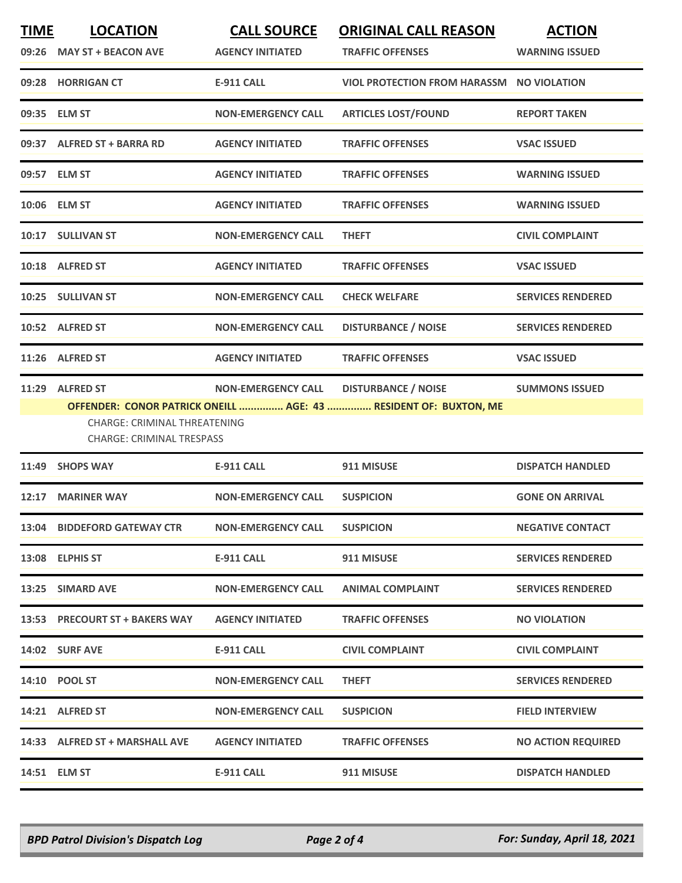| <b>TIME</b> | <b>LOCATION</b><br>09:26 MAY ST + BEACON AVE                                        | <b>CALL SOURCE</b><br><b>AGENCY INITIATED</b> | <b>ORIGINAL CALL REASON</b><br><b>TRAFFIC OFFENSES</b>                                         | <b>ACTION</b><br><b>WARNING ISSUED</b> |
|-------------|-------------------------------------------------------------------------------------|-----------------------------------------------|------------------------------------------------------------------------------------------------|----------------------------------------|
|             | 09:28 HORRIGAN CT                                                                   | <b>E-911 CALL</b>                             | <b>VIOL PROTECTION FROM HARASSM NO VIOLATION</b>                                               |                                        |
|             | 09:35 ELM ST                                                                        | <b>NON-EMERGENCY CALL</b>                     | <b>ARTICLES LOST/FOUND</b>                                                                     | <b>REPORT TAKEN</b>                    |
|             | 09:37 ALFRED ST + BARRA RD                                                          | <b>AGENCY INITIATED</b>                       | <b>TRAFFIC OFFENSES</b>                                                                        | <b>VSAC ISSUED</b>                     |
|             | 09:57 ELM ST                                                                        | <b>AGENCY INITIATED</b>                       | <b>TRAFFIC OFFENSES</b>                                                                        | <b>WARNING ISSUED</b>                  |
|             | 10:06 ELM ST                                                                        | <b>AGENCY INITIATED</b>                       | <b>TRAFFIC OFFENSES</b>                                                                        | <b>WARNING ISSUED</b>                  |
|             | 10:17 SULLIVAN ST                                                                   | <b>NON-EMERGENCY CALL</b>                     | <b>THEFT</b>                                                                                   | <b>CIVIL COMPLAINT</b>                 |
|             | 10:18 ALFRED ST                                                                     | <b>AGENCY INITIATED</b>                       | <b>TRAFFIC OFFENSES</b>                                                                        | <b>VSAC ISSUED</b>                     |
|             | 10:25 SULLIVAN ST                                                                   | <b>NON-EMERGENCY CALL</b>                     | <b>CHECK WELFARE</b>                                                                           | <b>SERVICES RENDERED</b>               |
|             | 10:52 ALFRED ST                                                                     | <b>NON-EMERGENCY CALL</b>                     | <b>DISTURBANCE / NOISE</b>                                                                     | <b>SERVICES RENDERED</b>               |
|             | 11:26 ALFRED ST                                                                     | <b>AGENCY INITIATED</b>                       | <b>TRAFFIC OFFENSES</b>                                                                        | <b>VSAC ISSUED</b>                     |
|             | 11:29 ALFRED ST<br>CHARGE: CRIMINAL THREATENING<br><b>CHARGE: CRIMINAL TRESPASS</b> | <b>NON-EMERGENCY CALL</b>                     | <b>DISTURBANCE / NOISE</b><br>OFFENDER: CONOR PATRICK ONEILL  AGE: 43  RESIDENT OF: BUXTON, ME | <b>SUMMONS ISSUED</b>                  |
|             | 11:49 SHOPS WAY                                                                     | <b>E-911 CALL</b>                             | 911 MISUSE                                                                                     | <b>DISPATCH HANDLED</b>                |
| 12:17       | <b>MARINER WAY</b>                                                                  | <b>NON-EMERGENCY CALL</b>                     | <b>SUSPICION</b>                                                                               | <b>GONE ON ARRIVAL</b>                 |
|             | 13:04 BIDDEFORD GATEWAY CTR                                                         | <b>NON-EMERGENCY CALL</b>                     | <b>SUSPICION</b>                                                                               | <b>NEGATIVE CONTACT</b>                |
|             | 13:08 ELPHIS ST                                                                     | E-911 CALL                                    | 911 MISUSE                                                                                     | <b>SERVICES RENDERED</b>               |
|             | 13:25 SIMARD AVE                                                                    | <b>NON-EMERGENCY CALL</b>                     | <b>ANIMAL COMPLAINT</b>                                                                        | <b>SERVICES RENDERED</b>               |
|             | 13:53 PRECOURT ST + BAKERS WAY                                                      | <b>AGENCY INITIATED</b>                       | <b>TRAFFIC OFFENSES</b>                                                                        | <b>NO VIOLATION</b>                    |
|             | 14:02 SURF AVE                                                                      | E-911 CALL                                    | <b>CIVIL COMPLAINT</b>                                                                         | <b>CIVIL COMPLAINT</b>                 |
|             | <b>14:10 POOL ST</b>                                                                | <b>NON-EMERGENCY CALL</b>                     | <b>THEFT</b>                                                                                   | <b>SERVICES RENDERED</b>               |
|             | 14:21 ALFRED ST                                                                     | <b>NON-EMERGENCY CALL</b>                     | <b>SUSPICION</b>                                                                               | <b>FIELD INTERVIEW</b>                 |
|             | 14:33 ALFRED ST + MARSHALL AVE                                                      | <b>AGENCY INITIATED</b>                       | <b>TRAFFIC OFFENSES</b>                                                                        | <b>NO ACTION REQUIRED</b>              |
|             | 14:51 ELM ST                                                                        | <b>E-911 CALL</b>                             | 911 MISUSE                                                                                     | <b>DISPATCH HANDLED</b>                |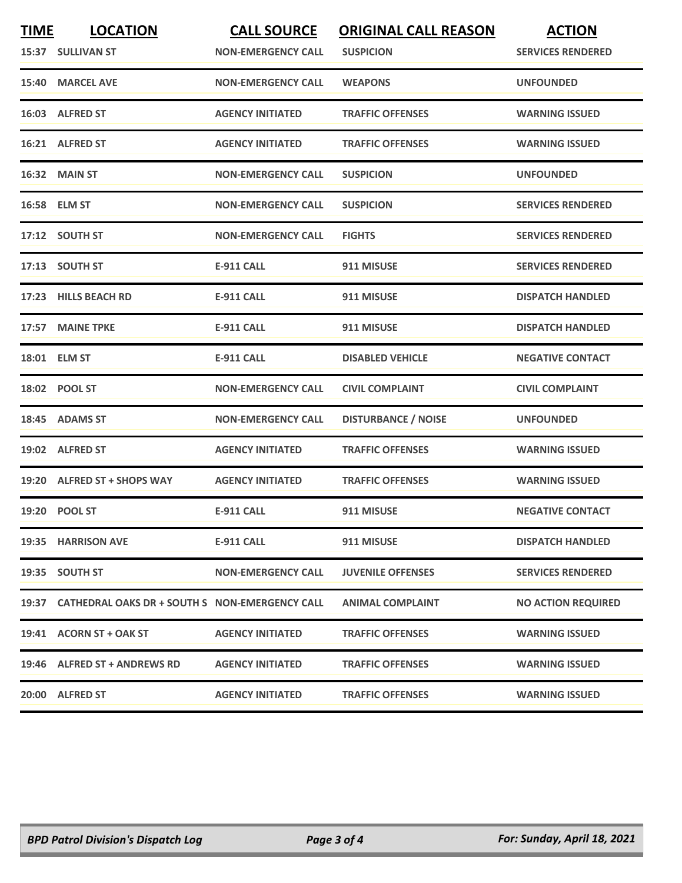| <b>TIME</b> | <b>LOCATION</b>                                      | <b>CALL SOURCE</b>        | <b>ORIGINAL CALL REASON</b> | <b>ACTION</b>             |
|-------------|------------------------------------------------------|---------------------------|-----------------------------|---------------------------|
|             | 15:37 SULLIVAN ST                                    | <b>NON-EMERGENCY CALL</b> | <b>SUSPICION</b>            | <b>SERVICES RENDERED</b>  |
|             | 15:40 MARCEL AVE                                     | <b>NON-EMERGENCY CALL</b> | <b>WEAPONS</b>              | <b>UNFOUNDED</b>          |
|             | 16:03 ALFRED ST                                      | <b>AGENCY INITIATED</b>   | <b>TRAFFIC OFFENSES</b>     | <b>WARNING ISSUED</b>     |
|             | 16:21 ALFRED ST                                      | <b>AGENCY INITIATED</b>   | <b>TRAFFIC OFFENSES</b>     | <b>WARNING ISSUED</b>     |
|             | 16:32 MAIN ST                                        | <b>NON-EMERGENCY CALL</b> | <b>SUSPICION</b>            | <b>UNFOUNDED</b>          |
|             | 16:58 ELM ST                                         | <b>NON-EMERGENCY CALL</b> | <b>SUSPICION</b>            | <b>SERVICES RENDERED</b>  |
|             | 17:12 SOUTH ST                                       | <b>NON-EMERGENCY CALL</b> | <b>FIGHTS</b>               | <b>SERVICES RENDERED</b>  |
|             | 17:13 SOUTH ST                                       | <b>E-911 CALL</b>         | 911 MISUSE                  | <b>SERVICES RENDERED</b>  |
|             | 17:23 HILLS BEACH RD                                 | <b>E-911 CALL</b>         | 911 MISUSE                  | <b>DISPATCH HANDLED</b>   |
|             | 17:57 MAINE TPKE                                     | <b>E-911 CALL</b>         | 911 MISUSE                  | <b>DISPATCH HANDLED</b>   |
|             | 18:01 ELM ST                                         | <b>E-911 CALL</b>         | <b>DISABLED VEHICLE</b>     | <b>NEGATIVE CONTACT</b>   |
|             | 18:02 POOL ST                                        | <b>NON-EMERGENCY CALL</b> | <b>CIVIL COMPLAINT</b>      | <b>CIVIL COMPLAINT</b>    |
|             | 18:45 ADAMS ST                                       | <b>NON-EMERGENCY CALL</b> | <b>DISTURBANCE / NOISE</b>  | <b>UNFOUNDED</b>          |
|             | 19:02 ALFRED ST                                      | <b>AGENCY INITIATED</b>   | <b>TRAFFIC OFFENSES</b>     | <b>WARNING ISSUED</b>     |
|             | 19:20 ALFRED ST + SHOPS WAY                          | <b>AGENCY INITIATED</b>   | <b>TRAFFIC OFFENSES</b>     | <b>WARNING ISSUED</b>     |
|             | 19:20 POOL ST                                        | <b>E-911 CALL</b>         | 911 MISUSE                  | <b>NEGATIVE CONTACT</b>   |
|             | 19:35 HARRISON AVE                                   | <b>E-911 CALL</b>         | 911 MISUSE                  | <b>DISPATCH HANDLED</b>   |
|             | 19:35 SOUTH ST                                       | <b>NON-EMERGENCY CALL</b> | <b>JUVENILE OFFENSES</b>    | <b>SERVICES RENDERED</b>  |
|             | 19:37 CATHEDRAL OAKS DR + SOUTH S NON-EMERGENCY CALL |                           | <b>ANIMAL COMPLAINT</b>     | <b>NO ACTION REQUIRED</b> |
|             | 19:41 ACORN ST + OAK ST                              | <b>AGENCY INITIATED</b>   | <b>TRAFFIC OFFENSES</b>     | <b>WARNING ISSUED</b>     |
|             | 19:46 ALFRED ST + ANDREWS RD                         | <b>AGENCY INITIATED</b>   | <b>TRAFFIC OFFENSES</b>     | <b>WARNING ISSUED</b>     |
|             | 20:00 ALFRED ST                                      | <b>AGENCY INITIATED</b>   | <b>TRAFFIC OFFENSES</b>     | <b>WARNING ISSUED</b>     |